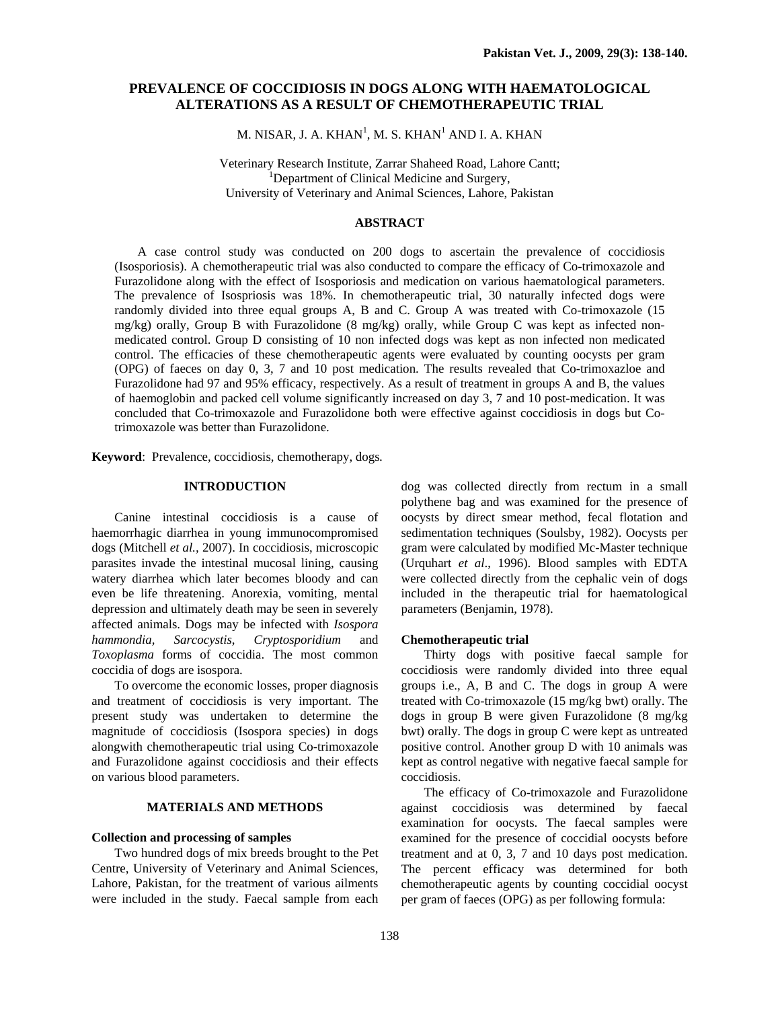# **PREVALENCE OF COCCIDIOSIS IN DOGS ALONG WITH HAEMATOLOGICAL ALTERATIONS AS A RESULT OF CHEMOTHERAPEUTIC TRIAL**

M. NISAR, J. A. KHAN $^{\rm l}$ , M. S. KHAN $^{\rm l}$  AND I. A. KHAN

Veterinary Research Institute, Zarrar Shaheed Road, Lahore Cantt; 1 <sup>1</sup>Department of Clinical Medicine and Surgery, University of Veterinary and Animal Sciences, Lahore, Pakistan

### **ABSTRACT**

A case control study was conducted on 200 dogs to ascertain the prevalence of coccidiosis (Isosporiosis). A chemotherapeutic trial was also conducted to compare the efficacy of Co-trimoxazole and Furazolidone along with the effect of Isosporiosis and medication on various haematological parameters. The prevalence of Isospriosis was 18%. In chemotherapeutic trial, 30 naturally infected dogs were randomly divided into three equal groups A, B and C. Group A was treated with Co-trimoxazole (15 mg/kg) orally, Group B with Furazolidone (8 mg/kg) orally, while Group C was kept as infected nonmedicated control. Group D consisting of 10 non infected dogs was kept as non infected non medicated control. The efficacies of these chemotherapeutic agents were evaluated by counting oocysts per gram (OPG) of faeces on day 0, 3, 7 and 10 post medication. The results revealed that Co-trimoxazloe and Furazolidone had 97 and 95% efficacy, respectively. As a result of treatment in groups A and B, the values of haemoglobin and packed cell volume significantly increased on day 3, 7 and 10 post-medication. It was concluded that Co-trimoxazole and Furazolidone both were effective against coccidiosis in dogs but Cotrimoxazole was better than Furazolidone.

**Keyword**: Prevalence, coccidiosis, chemotherapy, dogs*.* 

# **INTRODUCTION**

Canine intestinal coccidiosis is a cause of haemorrhagic diarrhea in young immunocompromised dogs (Mitchell *et al.,* 2007). In coccidiosis, microscopic parasites invade the intestinal mucosal lining, causing watery diarrhea which later becomes bloody and can even be life threatening. Anorexia, vomiting, mental depression and ultimately death may be seen in severely affected animals. Dogs may be infected with *Isospora hammondia, Sarcocystis*, *Cryptosporidium* and *Toxoplasma* forms of coccidia. The most common coccidia of dogs are isospora.

To overcome the economic losses, proper diagnosis and treatment of coccidiosis is very important. The present study was undertaken to determine the magnitude of coccidiosis (Isospora species) in dogs alongwith chemotherapeutic trial using Co-trimoxazole and Furazolidone against coccidiosis and their effects on various blood parameters.

# **MATERIALS AND METHODS**

#### **Collection and processing of samples**

Two hundred dogs of mix breeds brought to the Pet Centre, University of Veterinary and Animal Sciences, Lahore, Pakistan, for the treatment of various ailments were included in the study. Faecal sample from each

dog was collected directly from rectum in a small polythene bag and was examined for the presence of oocysts by direct smear method, fecal flotation and sedimentation techniques (Soulsby, 1982). Oocysts per gram were calculated by modified Mc-Master technique (Urquhart *et al*., 1996). Blood samples with EDTA were collected directly from the cephalic vein of dogs included in the therapeutic trial for haematological parameters (Benjamin, 1978).

# **Chemotherapeutic trial**

Thirty dogs with positive faecal sample for coccidiosis were randomly divided into three equal groups i.e., A, B and C. The dogs in group A were treated with Co-trimoxazole (15 mg/kg bwt) orally. The dogs in group B were given Furazolidone (8 mg/kg bwt) orally. The dogs in group C were kept as untreated positive control. Another group D with 10 animals was kept as control negative with negative faecal sample for coccidiosis.

The efficacy of Co-trimoxazole and Furazolidone against coccidiosis was determined by faecal examination for oocysts. The faecal samples were examined for the presence of coccidial oocysts before treatment and at 0, 3, 7 and 10 days post medication. The percent efficacy was determined for both chemotherapeutic agents by counting coccidial oocyst per gram of faeces (OPG) as per following formula: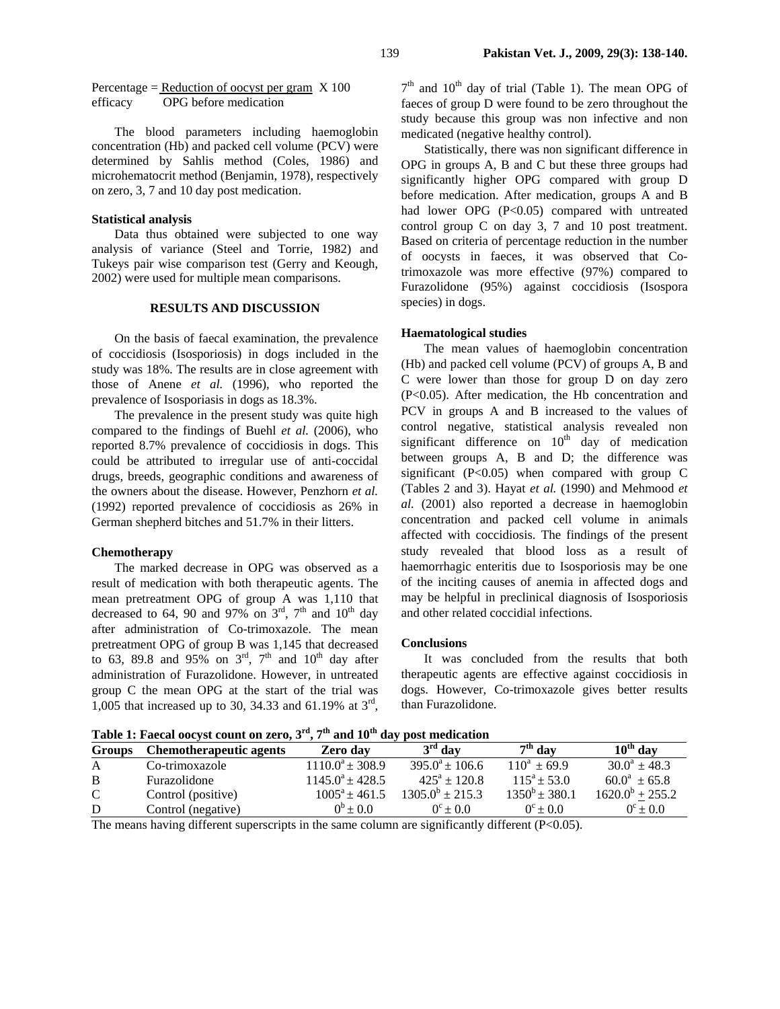Percentage = Reduction of oocyst per gram  $X$  100 efficacyOPG before medication

 The blood parameters including haemoglobin concentration (Hb) and packed cell volume (PCV) were determined by Sahlis method (Coles, 1986) and microhematocrit method (Benjamin, 1978), respectively on zero, 3, 7 and 10 day post medication.

### **Statistical analysis**

Data thus obtained were subjected to one way analysis of variance (Steel and Torrie, 1982) and Tukeys pair wise comparison test (Gerry and Keough, 2002) were used for multiple mean comparisons.

# **RESULTS AND DISCUSSION**

On the basis of faecal examination, the prevalence of coccidiosis (Isosporiosis) in dogs included in the study was 18%. The results are in close agreement with those of Anene *et al.* (1996), who reported the prevalence of Isosporiasis in dogs as 18.3%.

The prevalence in the present study was quite high compared to the findings of Buehl *et al.* (2006), who reported 8.7% prevalence of coccidiosis in dogs. This could be attributed to irregular use of anti-coccidal drugs, breeds, geographic conditions and awareness of the owners about the disease. However, Penzhorn *et al.* (1992) reported prevalence of coccidiosis as 26% in German shepherd bitches and 51.7% in their litters.

# **Chemotherapy**

The marked decrease in OPG was observed as a result of medication with both therapeutic agents. The mean pretreatment OPG of group A was 1,110 that decreased to 64, 90 and 97% on  $3<sup>rd</sup>$ ,  $7<sup>th</sup>$  and  $10<sup>th</sup>$  day after administration of Co-trimoxazole. The mean pretreatment OPG of group B was 1,145 that decreased to 63, 89.8 and 95% on  $3^{\text{rd}}$ ,  $7^{\text{th}}$  and  $10^{\text{th}}$  day after administration of Furazolidone. However, in untreated group C the mean OPG at the start of the trial was 1,005 that increased up to 30, 34.33 and 61.19% at 3rd,

 $7<sup>th</sup>$  and  $10<sup>th</sup>$  day of trial (Table 1). The mean OPG of faeces of group D were found to be zero throughout the study because this group was non infective and non medicated (negative healthy control).

Statistically, there was non significant difference in OPG in groups A, B and C but these three groups had significantly higher OPG compared with group D before medication. After medication, groups A and B had lower OPG (P<0.05) compared with untreated control group C on day 3, 7 and 10 post treatment. Based on criteria of percentage reduction in the number of oocysts in faeces, it was observed that Cotrimoxazole was more effective (97%) compared to Furazolidone (95%) against coccidiosis (Isospora species) in dogs.

#### **Haematological studies**

The mean values of haemoglobin concentration (Hb) and packed cell volume (PCV) of groups A, B and C were lower than those for group D on day zero (P<0.05). After medication, the Hb concentration and PCV in groups A and B increased to the values of control negative, statistical analysis revealed non significant difference on  $10<sup>th</sup>$  day of medication between groups A, B and D; the difference was significant  $(P<0.05)$  when compared with group C (Tables 2 and 3). Hayat *et al.* (1990) and Mehmood *et al.* (2001) also reported a decrease in haemoglobin concentration and packed cell volume in animals affected with coccidiosis. The findings of the present study revealed that blood loss as a result of haemorrhagic enteritis due to Isosporiosis may be one of the inciting causes of anemia in affected dogs and may be helpful in preclinical diagnosis of Isosporiosis and other related coccidial infections.

# **Conclusions**

It was concluded from the results that both therapeutic agents are effective against coccidiosis in dogs. However, Co-trimoxazole gives better results than Furazolidone.

**Table 1: Faecal oocyst count on zero, 3rd, 7th and 10th day post medication** 

| <b>Groups</b> | <b>Chemotherapeutic agents</b> | Zero dav             | $3rd$ day               | $7th$ day          | $10^{\text{th}}$ day |  |  |  |
|---------------|--------------------------------|----------------------|-------------------------|--------------------|----------------------|--|--|--|
| A             | Co-trimoxazole                 | $1110.0^a \pm 308.9$ | $395.0^a \pm 106.6$     | $110^a \pm 69.9$   | $30.0^a \pm 48.3$    |  |  |  |
| B             | Furazolidone                   | $1145.0^a \pm 428.5$ | $425^{\rm a} \pm 120.8$ | $115^a \pm 53.0$   | $60.0^a \pm 65.8$    |  |  |  |
| $\mathbf C$   | Control (positive)             | $1005^a \pm 461.5$   | $1305.0^b \pm 215.3$    | $1350^b \pm 380.1$ | $1620.0^b + 255.2$   |  |  |  |
| D             | Control (negative)             | $0^{\rm b}$ ± 0.0    | $0^{\circ}$ ± 0.0       | $0^{\circ}$ ± 0.0  | $0^{\circ}$ ± 0.0    |  |  |  |

The means having different superscripts in the same column are significantly different (P<0.05).